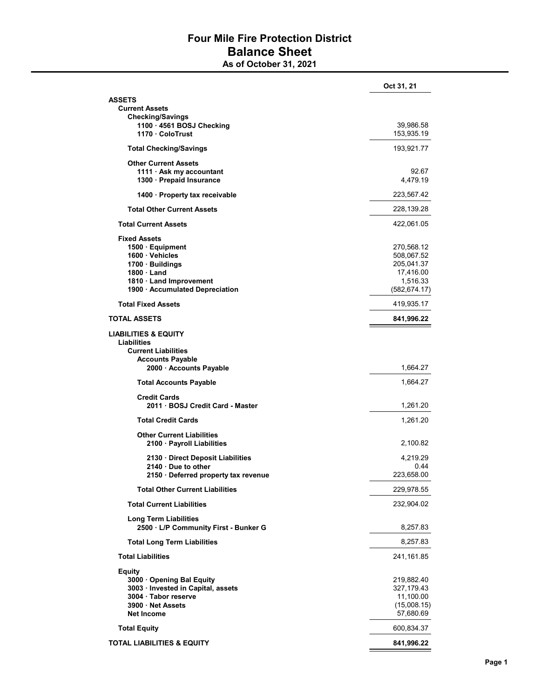## Four Mile Fire Protection District Balance Sheet

As of October 31, 2021

|                                        | Oct 31, 21    |
|----------------------------------------|---------------|
| <b>ASSETS</b>                          |               |
| <b>Current Assets</b>                  |               |
| <b>Checking/Savings</b>                |               |
| 1100 · 4561 BOSJ Checking              | 39,986.58     |
| 1170 ColoTrust                         | 153,935.19    |
| <b>Total Checking/Savings</b>          | 193,921.77    |
| <b>Other Current Assets</b>            |               |
| 1111 · Ask my accountant               | 92.67         |
| 1300 · Prepaid Insurance               | 4,479.19      |
| 1400 · Property tax receivable         | 223,567.42    |
| <b>Total Other Current Assets</b>      | 228,139.28    |
| <b>Total Current Assets</b>            | 422,061.05    |
| <b>Fixed Assets</b>                    |               |
| $1500 \cdot$ Equipment                 | 270,568.12    |
| 1600 · Vehicles                        | 508,067.52    |
| 1700 · Buildings                       | 205,041.37    |
| $1800 \cdot$ Land                      | 17,416.00     |
| 1810 Land Improvement                  | 1,516.33      |
| 1900 · Accumulated Depreciation        | (582, 674.17) |
| <b>Total Fixed Assets</b>              | 419,935.17    |
| <b>TOTAL ASSETS</b>                    | 841,996.22    |
| <b>LIABILITIES &amp; EQUITY</b>        |               |
| <b>Liabilities</b>                     |               |
| <b>Current Liabilities</b>             |               |
| <b>Accounts Payable</b>                |               |
| 2000 · Accounts Payable                | 1,664.27      |
| <b>Total Accounts Payable</b>          | 1,664.27      |
| <b>Credit Cards</b>                    |               |
| 2011 · BOSJ Credit Card - Master       | 1,261.20      |
| <b>Total Credit Cards</b>              | 1,261.20      |
| <b>Other Current Liabilities</b>       |               |
| 2100 · Payroll Liabilities             | 2,100.82      |
| 2130 Direct Deposit Liabilities        | 4,219.29      |
| $2140 \cdot$ Due to other              | 0.44          |
| 2150 · Deferred property tax revenue   | 223,658.00    |
| <b>Total Other Current Liabilities</b> | 229,978.55    |
| <b>Total Current Liabilities</b>       | 232,904.02    |
| <b>Long Term Liabilities</b>           |               |
| 2500 · L/P Community First - Bunker G  | 8,257.83      |
| <b>Total Long Term Liabilities</b>     | 8,257.83      |
| <b>Total Liabilities</b>               | 241,161.85    |
| Equity                                 |               |
| 3000 Opening Bal Equity                | 219,882.40    |
| 3003 · Invested in Capital, assets     | 327,179.43    |
| 3004 · Tabor reserve                   | 11,100.00     |
| 3900 · Net Assets                      | (15,008.15)   |
| <b>Net Income</b>                      | 57,680.69     |
| <b>Total Equity</b>                    | 600,834.37    |
| <b>TOTAL LIABILITIES &amp; EQUITY</b>  | 841,996.22    |